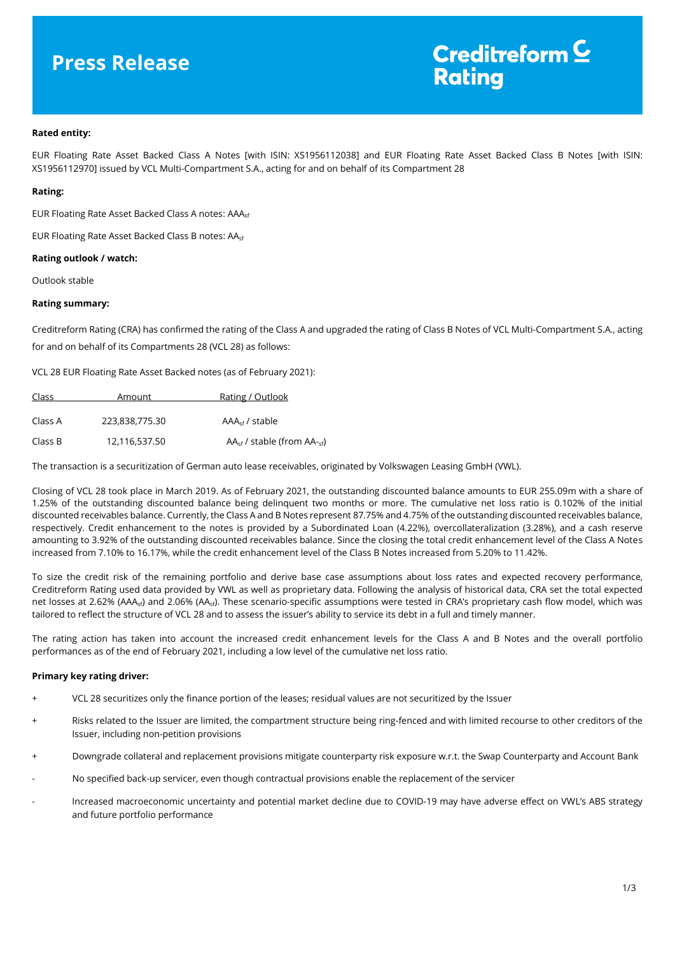# **Press Release**

# Creditreform  $\subseteq$ **Rating**

# **Rated entity:**

EUR Floating Rate Asset Backed Class A Notes [with ISIN: XS1956112038] and EUR Floating Rate Asset Backed Class B Notes [with ISIN: XS1956112970] issued by VCL Multi-Compartment S.A., acting for and on behalf of its Compartment 28

### **Rating:**

EUR Floating Rate Asset Backed Class A notes: AAA<sub>sf</sub>

EUR Floating Rate Asset Backed Class B notes: AAsf

### **Rating outlook / watch:**

Outlook stable

# **Rating summary:**

Creditreform Rating (CRA) has confirmed the rating of the Class A and upgraded the rating of Class B Notes of VCL Multi-Compartment S.A., acting for and on behalf of its Compartments 28 (VCL 28) as follows:

VCL 28 EUR Floating Rate Asset Backed notes (as of February 2021):

| Class   | Amount         | Rating / Outlook                     |
|---------|----------------|--------------------------------------|
| Class A | 223,838,775,30 | AAA <sub>sf</sub> / stable           |
| Class B | 12,116,537.50  | $AA_{sf}$ / stable (from $AA_{sf}$ ) |

The transaction is a securitization of German auto lease receivables, originated by Volkswagen Leasing GmbH (VWL).

Closing of VCL 28 took place in March 2019. As of February 2021, the outstanding discounted balance amounts to EUR 255.09m with a share of 1.25% of the outstanding discounted balance being delinquent two months or more. The cumulative net loss ratio is 0.102% of the initial discounted receivables balance. Currently, the Class A and B Notes represent 87.75% and 4.75% of the outstanding discounted receivables balance, respectively. Credit enhancement to the notes is provided by a Subordinated Loan (4.22%), overcollateralization (3.28%), and a cash reserve amounting to 3.92% of the outstanding discounted receivables balance. Since the closing the total credit enhancement level of the Class A Notes increased from 7.10% to 16.17%, while the credit enhancement level of the Class B Notes increased from 5.20% to 11.42%.

To size the credit risk of the remaining portfolio and derive base case assumptions about loss rates and expected recovery performance, Creditreform Rating used data provided by VWL as well as proprietary data. Following the analysis of historical data, CRA set the total expected net losses at 2.62% (AAA<sub>sf</sub>) and 2.06% (AA<sub>sf</sub>). These scenario-specific assumptions were tested in CRA's proprietary cash flow model, which was tailored to reflect the structure of VCL 28 and to assess the issuer's ability to service its debt in a full and timely manner.

The rating action has taken into account the increased credit enhancement levels for the Class A and B Notes and the overall portfolio performances as of the end of February 2021, including a low level of the cumulative net loss ratio.

# **Primary key rating driver:**

- + VCL 28 securitizes only the finance portion of the leases; residual values are not securitized by the Issuer
- + Risks related to the Issuer are limited, the compartment structure being ring-fenced and with limited recourse to other creditors of the Issuer, including non-petition provisions
- Downgrade collateral and replacement provisions mitigate counterparty risk exposure w.r.t. the Swap Counterparty and Account Bank
- No specified back-up servicer, even though contractual provisions enable the replacement of the servicer
- Increased macroeconomic uncertainty and potential market decline due to COVID-19 may have adverse effect on VWL's ABS strategy and future portfolio performance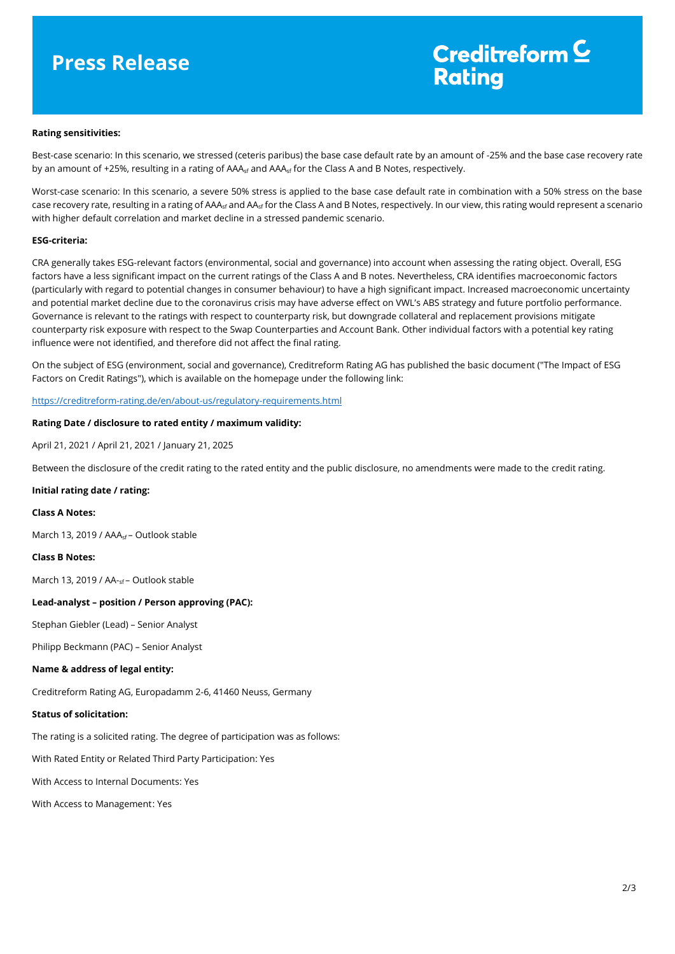# **Press Release**

# Creditreform  $\subseteq$ **Rating**

#### **Rating sensitivities:**

Best-case scenario: In this scenario, we stressed (ceteris paribus) the base case default rate by an amount of -25% and the base case recovery rate by an amount of +25%, resulting in a rating of AAA<sub>sf</sub> and AAA<sub>sf</sub> for the Class A and B Notes, respectively.

Worst-case scenario: In this scenario, a severe 50% stress is applied to the base case default rate in combination with a 50% stress on the base case recovery rate, resulting in a rating of AAA<sub>sf</sub> and AA<sub>sf</sub> for the Class A and B Notes, respectively. In our view, this rating would represent a scenario with higher default correlation and market decline in a stressed pandemic scenario.

#### **ESG-criteria:**

CRA generally takes ESG-relevant factors (environmental, social and governance) into account when assessing the rating object. Overall, ESG factors have a less significant impact on the current ratings of the Class A and B notes. Nevertheless, CRA identifies macroeconomic factors (particularly with regard to potential changes in consumer behaviour) to have a high significant impact. Increased macroeconomic uncertainty and potential market decline due to the coronavirus crisis may have adverse effect on VWL's ABS strategy and future portfolio performance. Governance is relevant to the ratings with respect to counterparty risk, but downgrade collateral and replacement provisions mitigate counterparty risk exposure with respect to the Swap Counterparties and Account Bank. Other individual factors with a potential key rating influence were not identified, and therefore did not affect the final rating.

On the subject of ESG (environment, social and governance), Creditreform Rating AG has published the basic document ("The Impact of ESG Factors on Credit Ratings"), which is available on the homepage under the following link:

<https://creditreform-rating.de/en/about-us/regulatory-requirements.html>

#### **Rating Date / disclosure to rated entity / maximum validity:**

April 21, 2021 / April 21, 2021 / January 21, 2025

Between the disclosure of the credit rating to the rated entity and the public disclosure, no amendments were made to the credit rating.

#### **Initial rating date / rating:**

# **Class A Notes:**

March 13, 2019 / AAA<sub>sf</sub> – Outlook stable

#### **Class B Notes:**

March 13, 2019 / AA-<sub>sf</sub> – Outlook stable

# **Lead-analyst – position / Person approving (PAC):**

Stephan Giebler (Lead) – Senior Analyst

Philipp Beckmann (PAC) – Senior Analyst

#### **Name & address of legal entity:**

Creditreform Rating AG, Europadamm 2-6, 41460 Neuss, Germany

#### **Status of solicitation:**

The rating is a solicited rating. The degree of participation was as follows:

With Rated Entity or Related Third Party Participation: Yes

With Access to Internal Documents: Yes

With Access to Management: Yes